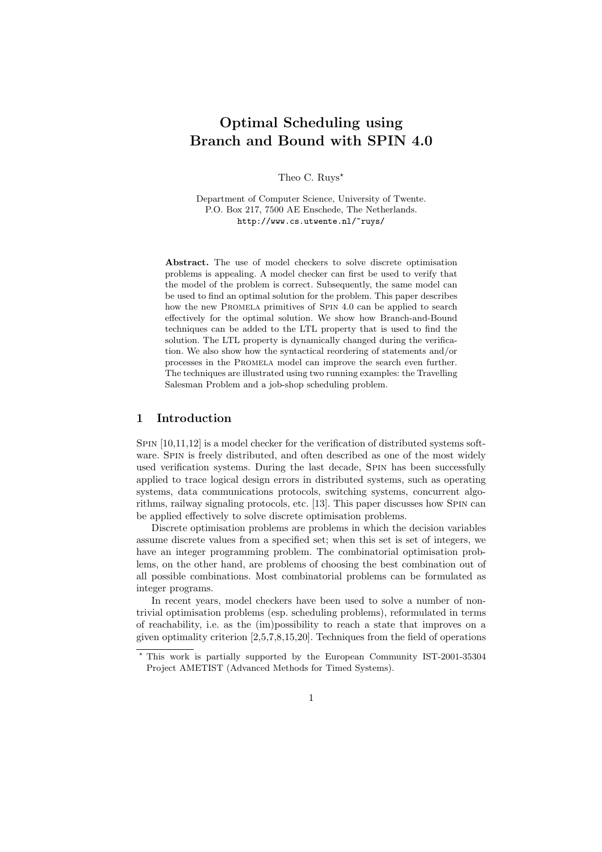# Optimal Scheduling using Branch and Bound with SPIN 4.0

Theo C. Ruys<sup>\*</sup>

Department of Computer Science, University of Twente. P.O. Box 217, 7500 AE Enschede, The Netherlands. http://www.cs.utwente.nl/~ruys/

Abstract. The use of model checkers to solve discrete optimisation problems is appealing. A model checker can first be used to verify that the model of the problem is correct. Subsequently, the same model can be used to find an optimal solution for the problem. This paper describes how the new PROMELA primitives of SPIN 4.0 can be applied to search effectively for the optimal solution. We show how Branch-and-Bound techniques can be added to the LTL property that is used to find the solution. The LTL property is dynamically changed during the verification. We also show how the syntactical reordering of statements and/or processes in the Promela model can improve the search even further. The techniques are illustrated using two running examples: the Travelling Salesman Problem and a job-shop scheduling problem.

# 1 Introduction

Spin [10,11,12] is a model checker for the verification of distributed systems software. SPIN is freely distributed, and often described as one of the most widely used verification systems. During the last decade, Spin has been successfully applied to trace logical design errors in distributed systems, such as operating systems, data communications protocols, switching systems, concurrent algorithms, railway signaling protocols, etc. [13]. This paper discusses how Spin can be applied effectively to solve discrete optimisation problems.

Discrete optimisation problems are problems in which the decision variables assume discrete values from a specified set; when this set is set of integers, we have an integer programming problem. The combinatorial optimisation problems, on the other hand, are problems of choosing the best combination out of all possible combinations. Most combinatorial problems can be formulated as integer programs.

In recent years, model checkers have been used to solve a number of nontrivial optimisation problems (esp. scheduling problems), reformulated in terms of reachability, i.e. as the (im)possibility to reach a state that improves on a given optimality criterion [2,5,7,8,15,20]. Techniques from the field of operations

<sup>?</sup> This work is partially supported by the European Community IST-2001-35304 Project AMETIST (Advanced Methods for Timed Systems).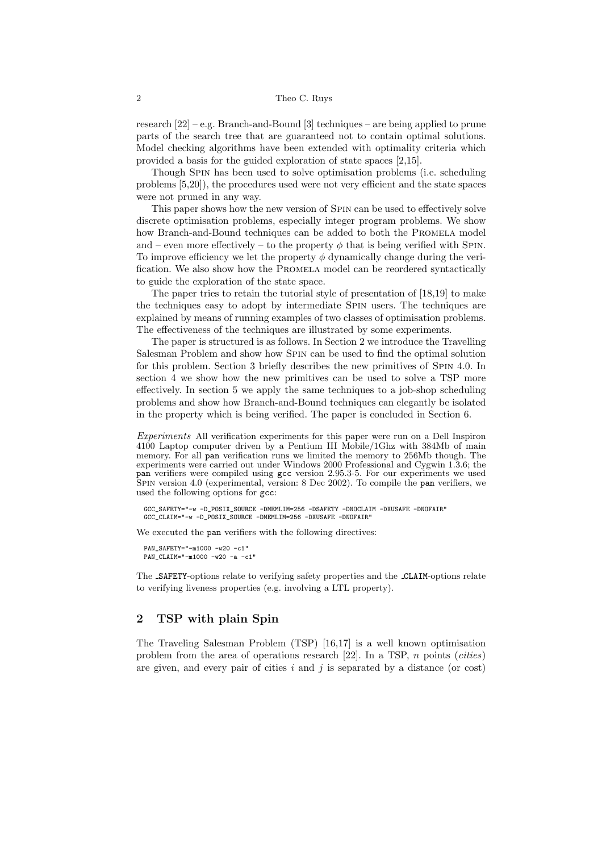research  $[22]$  – e.g. Branch-and-Bound  $[3]$  techniques – are being applied to prune parts of the search tree that are guaranteed not to contain optimal solutions. Model checking algorithms have been extended with optimality criteria which provided a basis for the guided exploration of state spaces [2,15].

Though Spin has been used to solve optimisation problems (i.e. scheduling problems [5,20]), the procedures used were not very efficient and the state spaces were not pruned in any way.

This paper shows how the new version of Spin can be used to effectively solve discrete optimisation problems, especially integer program problems. We show how Branch-and-Bound techniques can be added to both the PROMELA model and – even more effectively – to the property  $\phi$  that is being verified with SPIN. To improve efficiency we let the property  $\phi$  dynamically change during the verification. We also show how the Promela model can be reordered syntactically to guide the exploration of the state space.

The paper tries to retain the tutorial style of presentation of [18,19] to make the techniques easy to adopt by intermediate Spin users. The techniques are explained by means of running examples of two classes of optimisation problems. The effectiveness of the techniques are illustrated by some experiments.

The paper is structured is as follows. In Section 2 we introduce the Travelling Salesman Problem and show how Spin can be used to find the optimal solution for this problem. Section 3 briefly describes the new primitives of Spin 4.0. In section 4 we show how the new primitives can be used to solve a TSP more effectively. In section 5 we apply the same techniques to a job-shop scheduling problems and show how Branch-and-Bound techniques can elegantly be isolated in the property which is being verified. The paper is concluded in Section 6.

Experiments All verification experiments for this paper were run on a Dell Inspiron 4100 Laptop computer driven by a Pentium III Mobile/1Ghz with 384Mb of main memory. For all pan verification runs we limited the memory to 256Mb though. The experiments were carried out under Windows 2000 Professional and Cygwin 1.3.6; the pan verifiers were compiled using gcc version 2.95.3-5. For our experiments we used Spin version 4.0 (experimental, version: 8 Dec 2002). To compile the pan verifiers, we used the following options for gcc:

GCC\_SAFETY="-w -D\_POSIX\_SOURCE -DMEMLIM=256 -DSAFETY -DNOCLAIM -DXUSAFE -DNOFAIR" GCC\_CLAIM="-w -D\_POSIX\_SOURCE -DMEMLIM=256 -DXUSAFE -DNOFAIR"

We executed the pan verifiers with the following directives:

PAN\_SAFETY="-m1000 -w20 -c1" PAN\_CLAIM="-m1000 -w20 -a -c1"

The SAFETY-options relate to verifying safety properties and the CLAIM-options relate to verifying liveness properties (e.g. involving a LTL property).

# 2 TSP with plain Spin

The Traveling Salesman Problem (TSP) [16,17] is a well known optimisation problem from the area of operations research [22]. In a TSP, n points (cities) are given, and every pair of cities i and j is separated by a distance (or cost)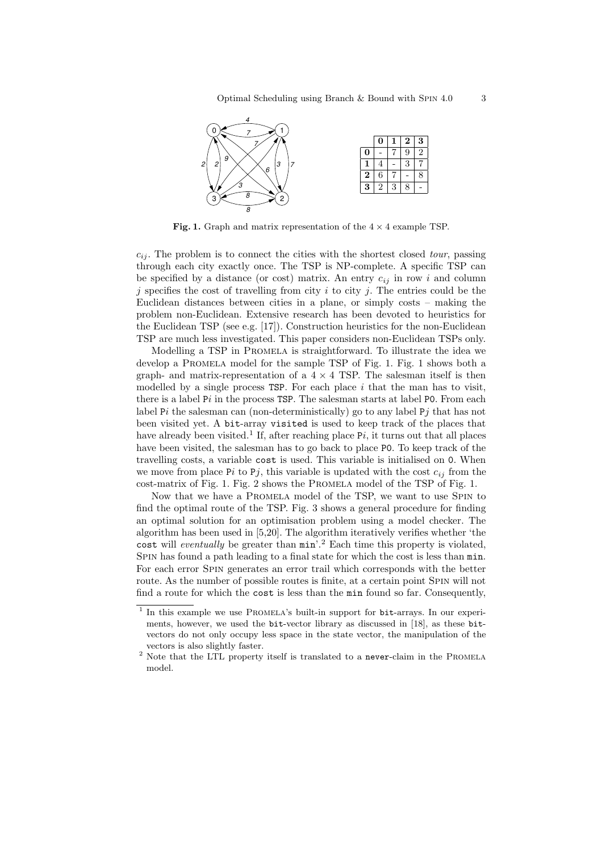

Fig. 1. Graph and matrix representation of the  $4 \times 4$  example TSP.

 $c_{ij}$ . The problem is to connect the cities with the shortest closed tour, passing through each city exactly once. The TSP is NP-complete. A specific TSP can be specified by a distance (or cost) matrix. An entry  $c_{ij}$  in row i and column  $j$  specifies the cost of travelling from city  $i$  to city  $j$ . The entries could be the Euclidean distances between cities in a plane, or simply costs – making the problem non-Euclidean. Extensive research has been devoted to heuristics for the Euclidean TSP (see e.g. [17]). Construction heuristics for the non-Euclidean TSP are much less investigated. This paper considers non-Euclidean TSPs only.

Modelling a TSP in Promela is straightforward. To illustrate the idea we develop a Promela model for the sample TSP of Fig. 1. Fig. 1 shows both a graph- and matrix-representation of a  $4 \times 4$  TSP. The salesman itself is then modelled by a single process  $TSP$ . For each place i that the man has to visit, there is a label  $Pi$  in the process  $TSP$ . The salesman starts at label  $PO$ . From each label Pi the salesman can (non-deterministically) go to any label Pj that has not been visited yet. A bit-array visited is used to keep track of the places that have already been visited.<sup>1</sup> If, after reaching place  $Pi_i$ , it turns out that all places have been visited, the salesman has to go back to place P0. To keep track of the travelling costs, a variable cost is used. This variable is initialised on 0. When we move from place Pi to Pj, this variable is updated with the cost  $c_{ij}$  from the cost-matrix of Fig. 1. Fig. 2 shows the Promela model of the TSP of Fig. 1.

Now that we have a Promela model of the TSP, we want to use Spin to find the optimal route of the TSP. Fig. 3 shows a general procedure for finding an optimal solution for an optimisation problem using a model checker. The algorithm has been used in [5,20]. The algorithm iteratively verifies whether 'the cost will *eventually* be greater than  $min$ <sup>2</sup>. Each time this property is violated, SPIN has found a path leading to a final state for which the cost is less than  $min$ . For each error Spin generates an error trail which corresponds with the better route. As the number of possible routes is finite, at a certain point Spin will not find a route for which the cost is less than the min found so far. Consequently,

<sup>&</sup>lt;sup>1</sup> In this example we use PROMELA's built-in support for bit-arrays. In our experiments, however, we used the bit-vector library as discussed in [18], as these bitvectors do not only occupy less space in the state vector, the manipulation of the vectors is also slightly faster.

 $^{\rm 2}$  Note that the LTL property itself is translated to a never-claim in the PROMELA model.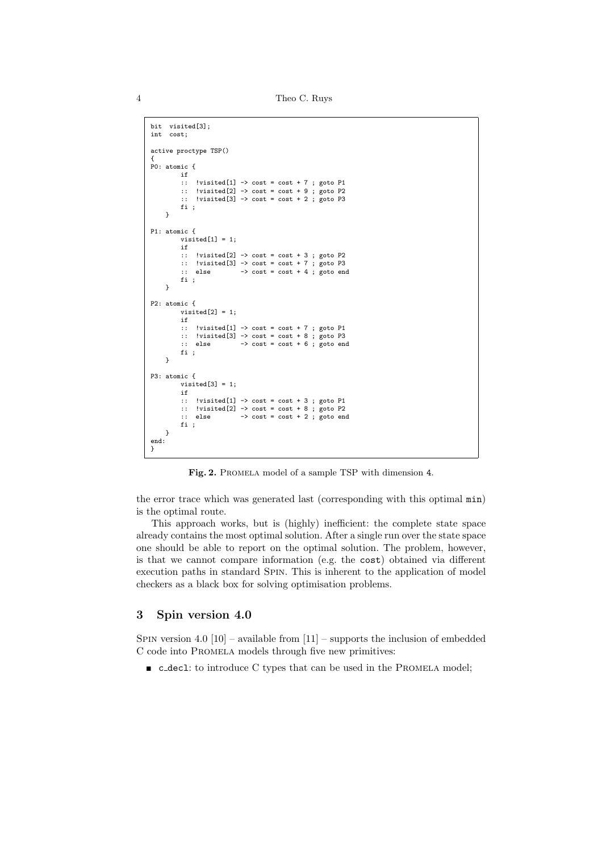4 Theo C. Ruys

```
bit visited[3];
int cost;
active proctype TSP()
{
P0: atomic {
          if
          :: !visited[1] -> cost = cost + 7 ; goto P1
          :: !visited[2] -> cost = cost + 9 ; goto P2
:: !visited[3] -> cost = cost + 2 ; goto P3
          fi ;
     }
P1: atomic {
          visited[1] = 1;
          if
          :: !visited[2] -> cost = cost + 3 ; goto P2
:: !visited[3] -> cost = cost + 7 ; goto P3
          \therefore else \rightarrow cost = cost + 4 ; goto end
         fi ;
     }
P2: atomic {
          visted[2] = 1;if
          :: !visited[1] -> cost = cost + 7 ; goto P1
          :: !visited[3] -> cost = cost + 8 ; goto P3
          \therefore else \rightarrow cost = cost + 6 ; goto end
          fi ;
     }
P3: atomic {
          visted[3] = 1;if
          :: !visited[1] -> cost = cost + 3 ; goto P1
          :: !visited[2] -> cost = cost + 8 ; goto P2
:: else -> cost = cost + 2 ; goto end
          fi ;
     }
end:
}
```
Fig. 2. PROMELA model of a sample TSP with dimension 4.

the error trace which was generated last (corresponding with this optimal min) is the optimal route.

This approach works, but is (highly) inefficient: the complete state space already contains the most optimal solution. After a single run over the state space one should be able to report on the optimal solution. The problem, however, is that we cannot compare information (e.g. the cost) obtained via different execution paths in standard Spin. This is inherent to the application of model checkers as a black box for solving optimisation problems.

## 3 Spin version 4.0

SPIN version 4.0  $[10]$  – available from  $[11]$  – supports the inclusion of embedded C code into Promela models through five new primitives:

 $\blacksquare$  c\_decl: to introduce C types that can be used in the PROMELA model;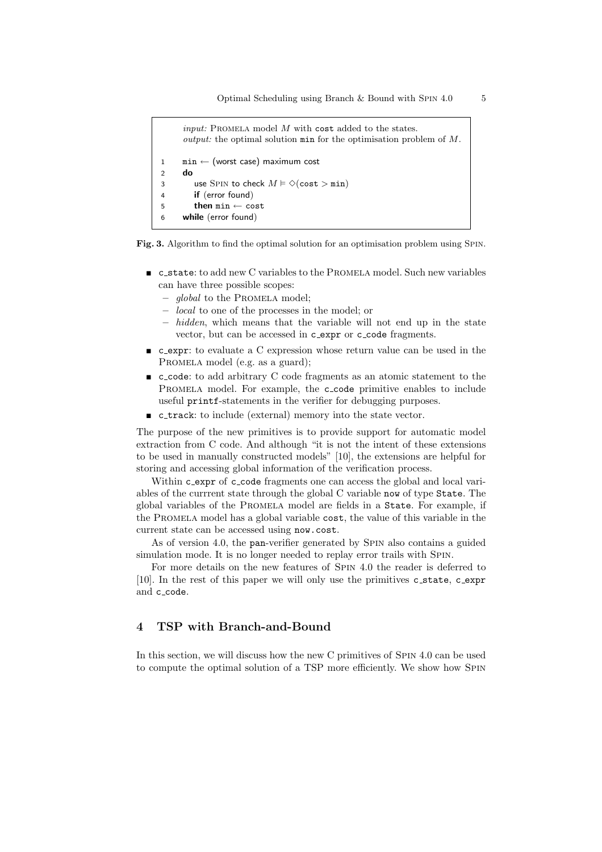```
input: PROMELA model M with cost added to the states.
     output: the optimal solution min for the optimisation problem of M.
1 min ← (worst case) maximum cost
2 do
3 use SPIN to check M \models \Diamond(\textsf{cost} > \texttt{min})4 if (error found)
5 then min \leftarrow cost6 while (error found)
```
Fig. 3. Algorithm to find the optimal solution for an optimisation problem using Spin.

- c state: to add new C variables to the Promela model. Such new variables can have three possible scopes:
	- global to the Promela model;
	- local to one of the processes in the model; or
	- $-$  hidden, which means that the variable will not end up in the state vector, but can be accessed in c\_expr or c\_code fragments.
- c\_expr: to evaluate a C expression whose return value can be used in the PROMELA model (e.g. as a guard);
- c code: to add arbitrary C code fragments as an atomic statement to the PROMELA model. For example, the c\_code primitive enables to include useful printf-statements in the verifier for debugging purposes.
- **c** track: to include (external) memory into the state vector.

The purpose of the new primitives is to provide support for automatic model extraction from C code. And although "it is not the intent of these extensions to be used in manually constructed models" [10], the extensions are helpful for storing and accessing global information of the verification process.

Within c\_expr of c\_code fragments one can access the global and local variables of the currrent state through the global C variable now of type State. The global variables of the Promela model are fields in a State. For example, if the Promela model has a global variable cost, the value of this variable in the current state can be accessed using now.cost.

As of version 4.0, the pan-verifier generated by SPIN also contains a guided simulation mode. It is no longer needed to replay error trails with Spin.

For more details on the new features of Spin 4.0 the reader is deferred to [10]. In the rest of this paper we will only use the primitives c\_state, c\_expr and c\_code.

## 4 TSP with Branch-and-Bound

In this section, we will discuss how the new C primitives of SPIN 4.0 can be used to compute the optimal solution of a TSP more efficiently. We show how Spin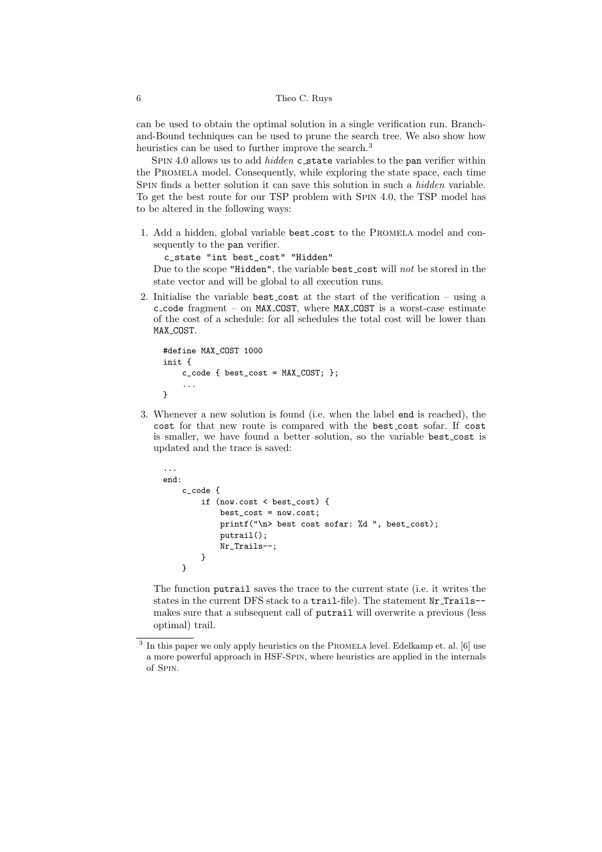can be used to obtain the optimal solution in a single verification run. Branchand-Bound techniques can be used to prune the search tree. We also show how heuristics can be used to further improve the search.<sup>3</sup>

SPIN 4.0 allows us to add *hidden* c\_state variables to the pan verifier within the Promela model. Consequently, while exploring the state space, each time SPIN finds a better solution it can save this solution in such a *hidden* variable. To get the best route for our TSP problem with Spin 4.0, the TSP model has to be altered in the following ways:

1. Add a hidden, global variable best cost to the Promela model and consequently to the pan verifier.

c\_state "int best\_cost" "Hidden"

Due to the scope "Hidden", the variable best cost will not be stored in the state vector and will be global to all execution runs.

2. Initialise the variable best cost at the start of the verification – using a c code fragment – on MAX COST, where MAX COST is a worst-case estimate of the cost of a schedule: for all schedules the total cost will be lower than MAX COST.

```
#define MAX_COST 1000
init {
    c code \{ best cost = MAX COST; \};
    ...
}
```
3. Whenever a new solution is found (i.e. when the label end is reached), the cost for that new route is compared with the best cost sofar. If cost is smaller, we have found a better solution, so the variable best cost is updated and the trace is saved:

```
...
end:
    c_code {
        if (now.cost < best_cost) {
            best_cost = now.cost;
            printf("\n> best cost sofar: %d ", best_cost);
            putrail();
            Nr_Trails--;
        }
    }
```
The function putrail saves the trace to the current state (i.e. it writes the states in the current DFS stack to a trail-file). The statement Nr Trails- makes sure that a subsequent call of putrail will overwrite a previous (less optimal) trail.

<sup>&</sup>lt;sup>3</sup> In this paper we only apply heuristics on the PROMELA level. Edelkamp et. al. [6] use a more powerful approach in HSF-Spin, where heuristics are applied in the internals of Spin.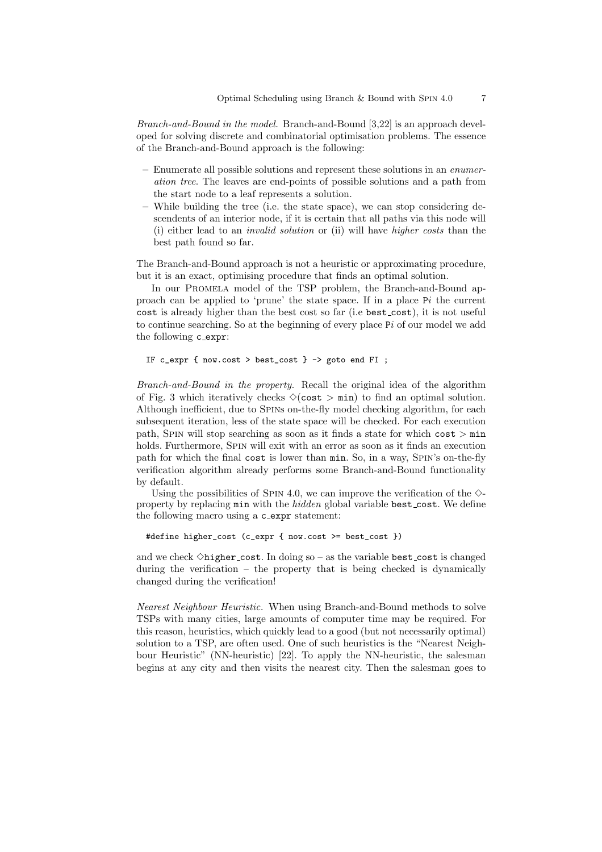Branch-and-Bound in the model. Branch-and-Bound [3,22] is an approach developed for solving discrete and combinatorial optimisation problems. The essence of the Branch-and-Bound approach is the following:

- Enumerate all possible solutions and represent these solutions in an enumeration tree. The leaves are end-points of possible solutions and a path from the start node to a leaf represents a solution.
- While building the tree (i.e. the state space), we can stop considering descendents of an interior node, if it is certain that all paths via this node will (i) either lead to an invalid solution or (ii) will have higher costs than the best path found so far.

The Branch-and-Bound approach is not a heuristic or approximating procedure, but it is an exact, optimising procedure that finds an optimal solution.

In our Promela model of the TSP problem, the Branch-and-Bound approach can be applied to 'prune' the state space. If in a place Pi the current cost is already higher than the best cost so far (i.e best cost), it is not useful to continue searching. So at the beginning of every place  $Pi$  of our model we add the following c expr:

IF c\_expr { now.cost > best\_cost } -> goto end FI ;

Branch-and-Bound in the property. Recall the original idea of the algorithm of Fig. 3 which iteratively checks  $\Diamond$ (cost  $>$  min) to find an optimal solution. Although inefficient, due to Spins on-the-fly model checking algorithm, for each subsequent iteration, less of the state space will be checked. For each execution path, Spin will stop searching as soon as it finds a state for which cost > min holds. Furthermore, Spin will exit with an error as soon as it finds an execution path for which the final cost is lower than min. So, in a way, SPIN's on-the-fly verification algorithm already performs some Branch-and-Bound functionality by default.

Using the possibilities of SPIN 4.0, we can improve the verification of the  $\diamond$ property by replacing min with the hidden global variable best cost. We define the following macro using a c expr statement:

#define higher\_cost (c\_expr { now.cost >= best\_cost })

and we check  $\Diamond$ higher cost. In doing so – as the variable best cost is changed during the verification – the property that is being checked is dynamically changed during the verification!

Nearest Neighbour Heuristic. When using Branch-and-Bound methods to solve TSPs with many cities, large amounts of computer time may be required. For this reason, heuristics, which quickly lead to a good (but not necessarily optimal) solution to a TSP, are often used. One of such heuristics is the "Nearest Neighbour Heuristic" (NN-heuristic) [22]. To apply the NN-heuristic, the salesman begins at any city and then visits the nearest city. Then the salesman goes to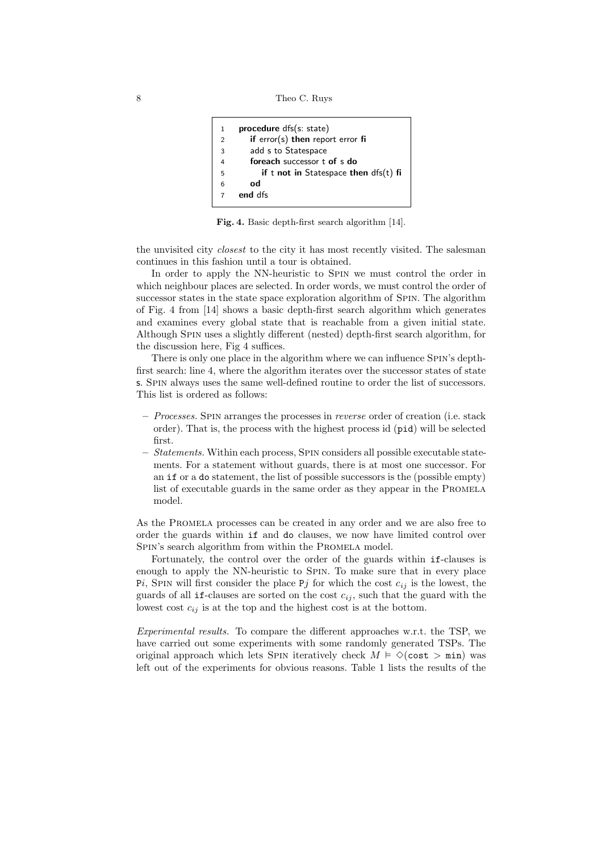```
8 Theo C. Ruys
```

```
1 procedure dfs(s: state)
2 if error(s) then report error fi
3 add s to Statespace
4 foreach successor t of s do
5 if t not in Statespace then dfs(t) fi
6 od
7 end dfs
```
Fig. 4. Basic depth-first search algorithm [14].

the unvisited city closest to the city it has most recently visited. The salesman continues in this fashion until a tour is obtained.

In order to apply the NN-heuristic to Spin we must control the order in which neighbour places are selected. In order words, we must control the order of successor states in the state space exploration algorithm of Spin. The algorithm of Fig. 4 from [14] shows a basic depth-first search algorithm which generates and examines every global state that is reachable from a given initial state. Although Spin uses a slightly different (nested) depth-first search algorithm, for the discussion here, Fig 4 suffices.

There is only one place in the algorithm where we can influence SPIN's depthfirst search: line 4, where the algorithm iterates over the successor states of state s. Spin always uses the same well-defined routine to order the list of successors. This list is ordered as follows:

- $-$  *Processes.* SPIN arranges the processes in *reverse* order of creation (i.e. stack order). That is, the process with the highest process id (pid) will be selected first.
- Statements. Within each process, SPIN considers all possible executable statements. For a statement without guards, there is at most one successor. For an if or a do statement, the list of possible successors is the (possible empty) list of executable guards in the same order as they appear in the PROMELA model.

As the Promela processes can be created in any order and we are also free to order the guards within if and do clauses, we now have limited control over SPIN's search algorithm from within the PROMELA model.

Fortunately, the control over the order of the guards within if-clauses is enough to apply the NN-heuristic to Spin. To make sure that in every place Pi, SPIN will first consider the place Pj for which the cost  $c_{ij}$  is the lowest, the guards of all if-clauses are sorted on the cost  $c_{ij}$ , such that the guard with the lowest cost  $c_{ij}$  is at the top and the highest cost is at the bottom.

Experimental results. To compare the different approaches w.r.t. the TSP, we have carried out some experiments with some randomly generated TSPs. The original approach which lets SPIN iteratively check  $M \vDash \Diamond(\text{cost} > \text{min})$  was left out of the experiments for obvious reasons. Table 1 lists the results of the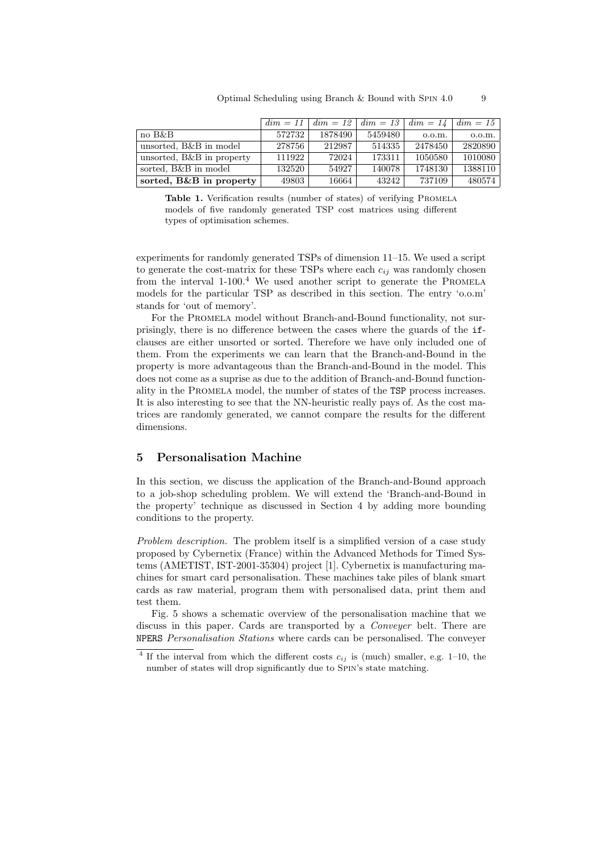|                           | $dim = 11$ | $dim = 12$ | $dim = 13$ | $dim = 14$ | $dim = 15$ |
|---------------------------|------------|------------|------------|------------|------------|
| no B&B                    | 572732     | 1878490    | 5459480    | 0.0.m.     | 0.0.m.     |
| unsorted, B&B in model    | 278756     | 212987     | 514335     | 2478450    | 2820890    |
| unsorted, B&B in property | 111922     | 72024      | 173311     | 1050580    | 1010080    |
| sorted, B&B in model      | 132520     | 54927      | 140078     | 1748130    | 1388110    |
| sorted, B&B in property   | 49803      | 16664      | 43242      | 737109     | 480574     |

Table 1. Verification results (number of states) of verifying PROMELA models of five randomly generated TSP cost matrices using different types of optimisation schemes.

experiments for randomly generated TSPs of dimension 11–15. We used a script to generate the cost-matrix for these TSPs where each  $c_{ij}$  was randomly chosen from the interval  $1-100$ .<sup>4</sup> We used another script to generate the PROMELA models for the particular TSP as described in this section. The entry 'o.o.m' stands for 'out of memory'.

For the Promela model without Branch-and-Bound functionality, not surprisingly, there is no difference between the cases where the guards of the ifclauses are either unsorted or sorted. Therefore we have only included one of them. From the experiments we can learn that the Branch-and-Bound in the property is more advantageous than the Branch-and-Bound in the model. This does not come as a suprise as due to the addition of Branch-and-Bound functionality in the Promela model, the number of states of the TSP process increases. It is also interesting to see that the NN-heuristic really pays of. As the cost matrices are randomly generated, we cannot compare the results for the different dimensions.

## 5 Personalisation Machine

In this section, we discuss the application of the Branch-and-Bound approach to a job-shop scheduling problem. We will extend the 'Branch-and-Bound in the property' technique as discussed in Section 4 by adding more bounding conditions to the property.

Problem description. The problem itself is a simplified version of a case study proposed by Cybernetix (France) within the Advanced Methods for Timed Systems (AMETIST, IST-2001-35304) project [1]. Cybernetix is manufacturing machines for smart card personalisation. These machines take piles of blank smart cards as raw material, program them with personalised data, print them and test them.

Fig. 5 shows a schematic overview of the personalisation machine that we discuss in this paper. Cards are transported by a *Conveyer* belt. There are NPERS Personalisation Stations where cards can be personalised. The conveyer

<sup>&</sup>lt;sup>4</sup> If the interval from which the different costs  $c_{ij}$  is (much) smaller, e.g. 1–10, the number of states will drop significantly due to Spin's state matching.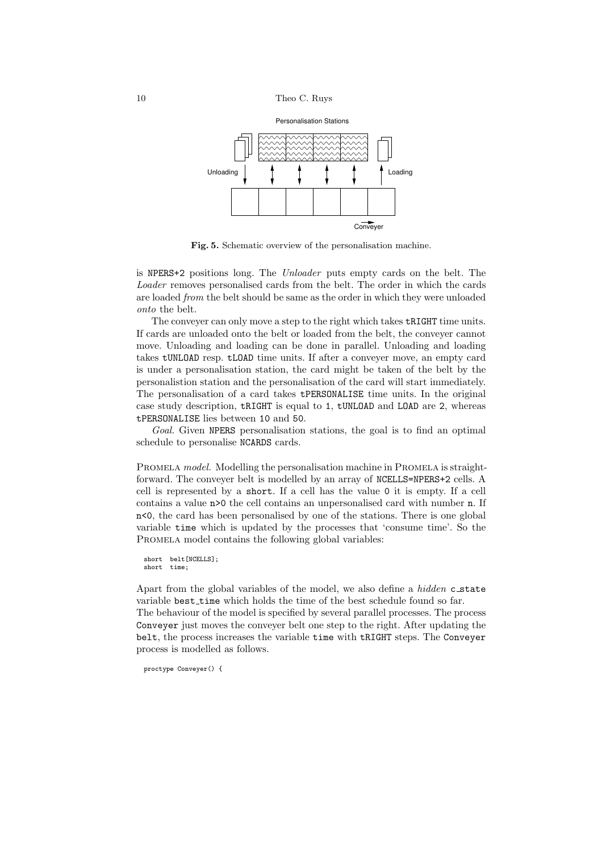

Fig. 5. Schematic overview of the personalisation machine.

is NPERS+2 positions long. The Unloader puts empty cards on the belt. The Loader removes personalised cards from the belt. The order in which the cards are loaded from the belt should be same as the order in which they were unloaded onto the belt.

The conveyer can only move a step to the right which takes tRIGHT time units. If cards are unloaded onto the belt or loaded from the belt, the conveyer cannot move. Unloading and loading can be done in parallel. Unloading and loading takes tUNLOAD resp. tLOAD time units. If after a conveyer move, an empty card is under a personalisation station, the card might be taken of the belt by the personalistion station and the personalisation of the card will start immediately. The personalisation of a card takes tPERSONALISE time units. In the original case study description, tRIGHT is equal to 1, tUNLOAD and LOAD are 2, whereas tPERSONALISE lies between 10 and 50.

Goal. Given NPERS personalisation stations, the goal is to find an optimal schedule to personalise NCARDS cards.

PROMELA model. Modelling the personalisation machine in PROMELA is straightforward. The conveyer belt is modelled by an array of NCELLS=NPERS+2 cells. A cell is represented by a short. If a cell has the value 0 it is empty. If a cell contains a value n>0 the cell contains an unpersonalised card with number n. If n<0, the card has been personalised by one of the stations. There is one global variable time which is updated by the processes that 'consume time'. So the PROMELA model contains the following global variables:

```
short belt[NCELLS];
short time;
```
Apart from the global variables of the model, we also define a *hidden* c\_state variable best time which holds the time of the best schedule found so far. The behaviour of the model is specified by several parallel processes. The process Conveyer just moves the conveyer belt one step to the right. After updating the belt, the process increases the variable time with tRIGHT steps. The Conveyer process is modelled as follows.

```
proctype Conveyer() {
```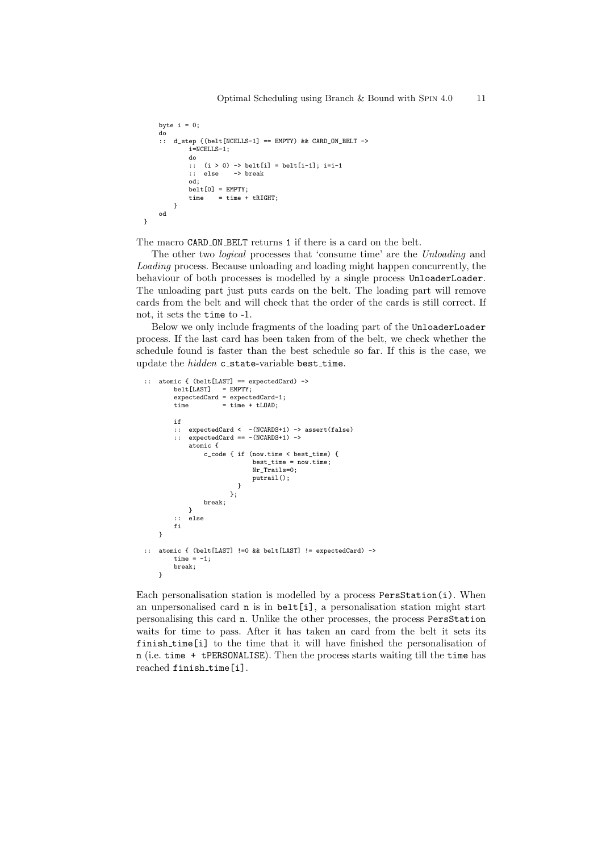```
byte i = 0;
    do
    :: d_step {(belt[NCELLS-1] == EMPTY) && CARD_ON_BELT ->
            i=NCELLS-1;
            do
            :: (i > 0) -> belt[i] = belt[i-1]; i=i-1
            :: else -> break
            od;
            belt[0] = EMPTY;
            time = time + tRIGHT;
       }
    od
}
```
The macro CARD ON BELT returns 1 if there is a card on the belt.

The other two logical processes that 'consume time' are the Unloading and Loading process. Because unloading and loading might happen concurrently, the behaviour of both processes is modelled by a single process UnloaderLoader. The unloading part just puts cards on the belt. The loading part will remove cards from the belt and will check that the order of the cards is still correct. If not, it sets the time to -1.

Below we only include fragments of the loading part of the UnloaderLoader process. If the last card has been taken from of the belt, we check whether the schedule found is faster than the best schedule so far. If this is the case, we update the *hidden* c\_state-variable best\_time.

```
:: atomic { (belt [LAST] == expectedCard) -> belt [LAST] = EMPTY;
            belt[LAST]expectedCard = expectedCard-1;<br>\frac{1}{2} = \frac{1}{2} = \frac{1}{2} = \frac{1}{2} = \frac{1}{2} = \frac{1}{2} = \frac{1}{2} = \frac{1}{2} = \frac{1}{2} = \frac{1}{2} = \frac{1}{2} = \frac{1}{2} = \frac{1}{2} = \frac{1}{2} = \frac{1}{2} = \frac{1}{2} 
                                 = time + tLOAD;
            if
            :: expectedCard < -(NCARDS+1) -> assert(false)
            :: expectedCard == -(NCARDS+1) ->
                   atomic {
                         c_code { if (now.time < best_time) {
                                                best_time = now.time;
                                               Nr Trails=0:
                                               putrail();
                                        }
                                     };
                         break;
                   }
            :: else
            fi
      }
:: atomic { (belt[LAST] !=0 && belt[LAST] != expectedCard) ->
            time = -1;
            break;
      }
```
Each personalisation station is modelled by a process PersStation(i). When an unpersonalised card n is in belt[i], a personalisation station might start personalising this card n. Unlike the other processes, the process PersStation waits for time to pass. After it has taken an card from the belt it sets its finish time[i] to the time that it will have finished the personalisation of n (i.e. time + tPERSONALISE). Then the process starts waiting till the time has reached finish time[i].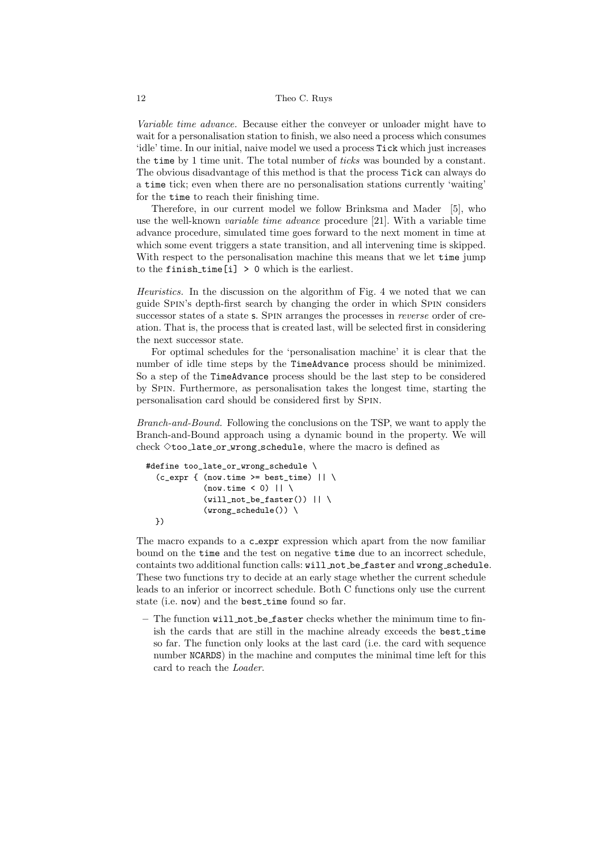#### 12 Theo C. Ruys

Variable time advance. Because either the conveyer or unloader might have to wait for a personalisation station to finish, we also need a process which consumes 'idle' time. In our initial, naive model we used a process Tick which just increases the time by 1 time unit. The total number of ticks was bounded by a constant. The obvious disadvantage of this method is that the process Tick can always do a time tick; even when there are no personalisation stations currently 'waiting' for the time to reach their finishing time.

Therefore, in our current model we follow Brinksma and Mader [5], who use the well-known variable time advance procedure [21]. With a variable time advance procedure, simulated time goes forward to the next moment in time at which some event triggers a state transition, and all intervening time is skipped. With respect to the personalisation machine this means that we let time jump to the finish time [i]  $> 0$  which is the earliest.

Heuristics. In the discussion on the algorithm of Fig. 4 we noted that we can guide Spin's depth-first search by changing the order in which Spin considers successor states of a state s. SPIN arranges the processes in *reverse* order of creation. That is, the process that is created last, will be selected first in considering the next successor state.

For optimal schedules for the 'personalisation machine' it is clear that the number of idle time steps by the TimeAdvance process should be minimized. So a step of the TimeAdvance process should be the last step to be considered by Spin. Furthermore, as personalisation takes the longest time, starting the personalisation card should be considered first by Spin.

Branch-and-Bound. Following the conclusions on the TSP, we want to apply the Branch-and-Bound approach using a dynamic bound in the property. We will check  $\Diamond$ too\_late\_or\_wrong\_schedule, where the macro is defined as

```
#define too_late_or_wrong_schedule \
  (c_{\text{expr}} f (now.time \ge best_time) || \setminus(now.time < 0) || \setminus(vill_not_be_faster()) || \
               (wrong\_schedule()) \ \ \ \ \ \})
```
The macro expands to a c-expr expression which apart from the now familiar bound on the time and the test on negative time due to an incorrect schedule, containts two additional function calls: will not be faster and wrong schedule. These two functions try to decide at an early stage whether the current schedule leads to an inferior or incorrect schedule. Both C functions only use the current state (i.e. now) and the best time found so far.

– The function will not be faster checks whether the minimum time to finish the cards that are still in the machine already exceeds the best time so far. The function only looks at the last card (i.e. the card with sequence number NCARDS) in the machine and computes the minimal time left for this card to reach the Loader.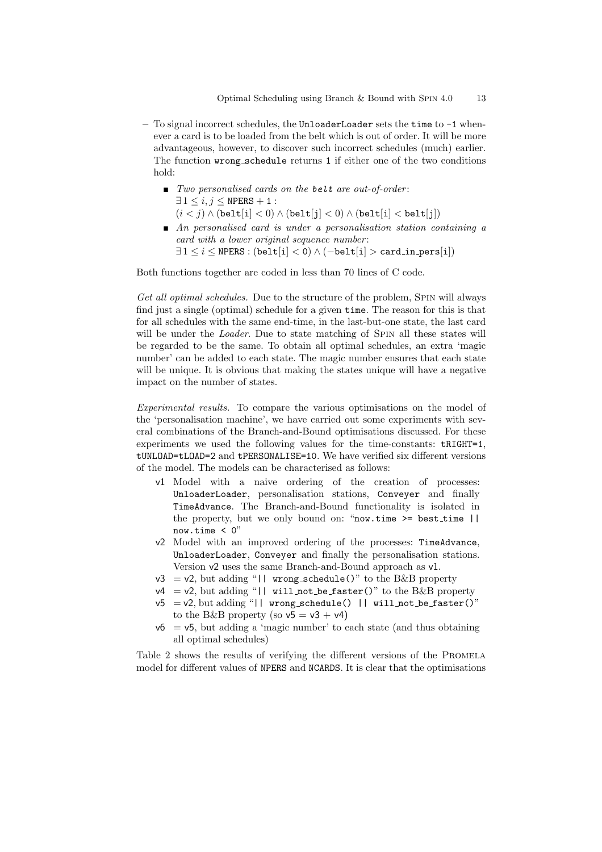- To signal incorrect schedules, the UnloaderLoader sets the time to -1 whenever a card is to be loaded from the belt which is out of order. It will be more advantageous, however, to discover such incorrect schedules (much) earlier. The function wrong schedule returns 1 if either one of the two conditions hold:
	- $\blacksquare$  Two personalised cards on the belt are out-of-order:  $\exists 1 \leq i, j \leq \text{NPERS} + 1$ :  $(i < j) \wedge ( \text{belt}[i] < 0) \wedge ( \text{belt}[j] < 0) \wedge ( \text{belt}[i] < \text{belt}[j])$
	- $\blacksquare$  An personalised card is under a personalisation station containing a card with a lower original sequence number:  $\exists 1 \leq i \leq \text{NPERS} : (\text{belt}[i] < 0) \land (-\text{belt}[i]) > \text{card_in.pers}[i])$

Both functions together are coded in less than 70 lines of C code.

Get all optimal schedules. Due to the structure of the problem, SPIN will always find just a single (optimal) schedule for a given time. The reason for this is that for all schedules with the same end-time, in the last-but-one state, the last card will be under the *Loader*. Due to state matching of SPIN all these states will be regarded to be the same. To obtain all optimal schedules, an extra 'magic number' can be added to each state. The magic number ensures that each state will be unique. It is obvious that making the states unique will have a negative impact on the number of states.

Experimental results. To compare the various optimisations on the model of the 'personalisation machine', we have carried out some experiments with several combinations of the Branch-and-Bound optimisations discussed. For these experiments we used the following values for the time-constants:  $tRIGHT=1$ . tUNLOAD=tLOAD=2 and tPERSONALISE=10. We have verified six different versions of the model. The models can be characterised as follows:

- v1 Model with a naive ordering of the creation of processes: UnloaderLoader, personalisation stations, Conveyer and finally TimeAdvance. The Branch-and-Bound functionality is isolated in the property, but we only bound on: "now.time  $\geq$  best time || now.time  $\langle 0$ "
- v2 Model with an improved ordering of the processes: TimeAdvance, UnloaderLoader, Conveyer and finally the personalisation stations. Version v2 uses the same Branch-and-Bound approach as v1.
- $v3 = v2$ , but adding "|| wrong\_schedule()" to the B&B property
- $v4 = v2$ , but adding "|| will not be faster()" to the B&B property
- $v5 = v2$ , but adding "|| wrong\_schedule() || will not be faster()" to the B&B property (so  $v5 = v3 + v4$ )
- $v6 = v5$ , but adding a 'magic number' to each state (and thus obtaining all optimal schedules)

Table 2 shows the results of verifying the different versions of the PROMELA model for different values of NPERS and NCARDS. It is clear that the optimisations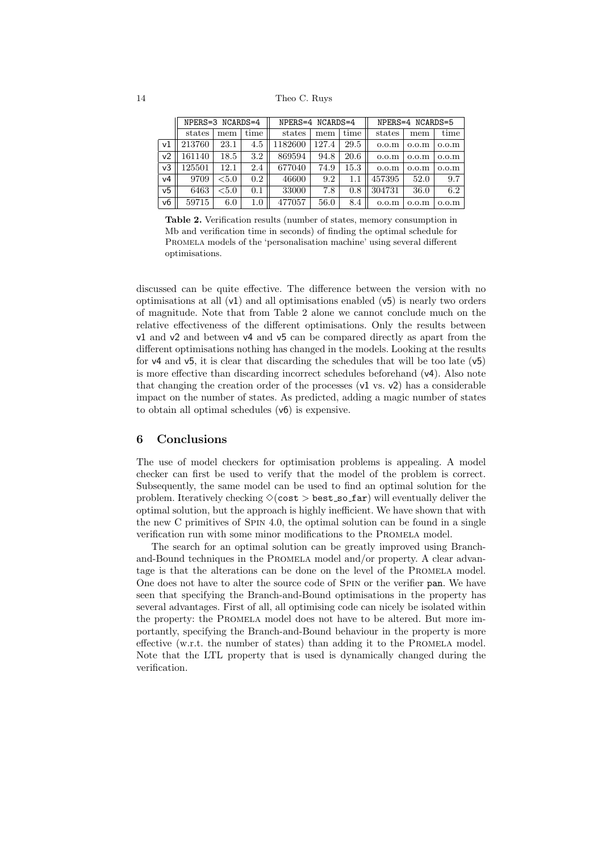#### 14 Theo C. Ruys

|                | $NPERS = 3 NCARDS = 4$ |          |      | $NPERS = 4 NCARDS = 4$ |       |      | $NPERS = 4 NCARDS = 5$ |                   |                   |  |  |  |  |
|----------------|------------------------|----------|------|------------------------|-------|------|------------------------|-------------------|-------------------|--|--|--|--|
|                | states                 | mem      | time | states                 | mem   | time | states                 | mem               | time              |  |  |  |  |
| $\vee$ 1       | 213760                 | 23.1     | 4.5  | 1182600                | 127.4 | 29.5 | 0.0 <sub>m</sub>       | 0.0 <sub>m</sub>  | 0.0 <sub>m</sub>  |  |  |  |  |
| v <sub>2</sub> | 161140                 | 18.5     | 3.2  | 869594                 | 94.8  | 20.6 | 0.0 <sub>mm</sub>      | 0.0 <sub>m</sub>  | 0.0 <sub>m</sub>  |  |  |  |  |
| v <sub>3</sub> | 125501                 | 12.1     | 2.4  | 677040                 | 74.9  | 15.3 | 0.0 <sub>m</sub>       | 0.0 <sub>mm</sub> | 0.0 <sub>m</sub>  |  |  |  |  |
| v4             | 9709                   | ${<}5.0$ | 0.2  | 46600                  | 9.2   | 1.1  | 457395                 | 52.0              | 9.7               |  |  |  |  |
| v <sub>5</sub> | 6463                   | ${<}5.0$ | 0.1  | 33000                  | 7.8   | 0.8  | 304731                 | 36.0              | 6.2               |  |  |  |  |
| v6             | 59715                  | 6.0      | 1.0  | 477057                 | 56.0  | 8.4  | 0.0 <sub>m</sub>       | 0.0 <sub>cm</sub> | 0.0 <sub>mm</sub> |  |  |  |  |

Table 2. Verification results (number of states, memory consumption in Mb and verification time in seconds) of finding the optimal schedule for Promela models of the 'personalisation machine' using several different optimisations.

discussed can be quite effective. The difference between the version with no optimisations at all  $(v1)$  and all optimisations enabled  $(v5)$  is nearly two orders of magnitude. Note that from Table 2 alone we cannot conclude much on the relative effectiveness of the different optimisations. Only the results between v1 and v2 and between v4 and v5 can be compared directly as apart from the different optimisations nothing has changed in the models. Looking at the results for v4 and v5, it is clear that discarding the schedules that will be too late (v5) is more effective than discarding incorrect schedules beforehand (v4). Also note that changing the creation order of the processes  $(v1 \text{ vs. } v2)$  has a considerable impact on the number of states. As predicted, adding a magic number of states to obtain all optimal schedules (v6) is expensive.

## 6 Conclusions

The use of model checkers for optimisation problems is appealing. A model checker can first be used to verify that the model of the problem is correct. Subsequently, the same model can be used to find an optimal solution for the problem. Iteratively checking  $\Diamond$ (cost > best so far) will eventually deliver the optimal solution, but the approach is highly inefficient. We have shown that with the new C primitives of Spin 4.0, the optimal solution can be found in a single verification run with some minor modifications to the Promela model.

The search for an optimal solution can be greatly improved using Branchand-Bound techniques in the PROMELA model and/or property. A clear advantage is that the alterations can be done on the level of the Promela model. One does not have to alter the source code of SPIN or the verifier pan. We have seen that specifying the Branch-and-Bound optimisations in the property has several advantages. First of all, all optimising code can nicely be isolated within the property: the Promela model does not have to be altered. But more importantly, specifying the Branch-and-Bound behaviour in the property is more effective (w.r.t. the number of states) than adding it to the Promela model. Note that the LTL property that is used is dynamically changed during the verification.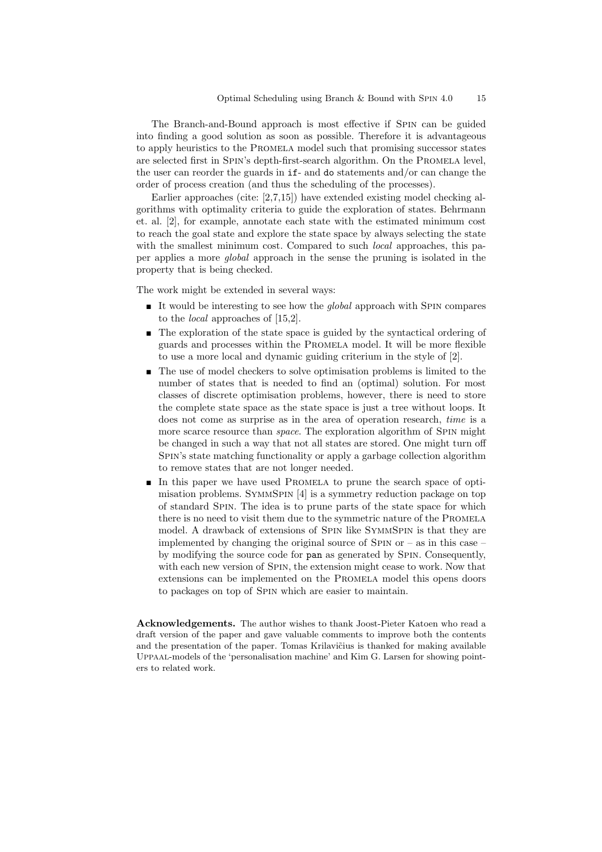The Branch-and-Bound approach is most effective if Spin can be guided into finding a good solution as soon as possible. Therefore it is advantageous to apply heuristics to the Promela model such that promising successor states are selected first in SPIN's depth-first-search algorithm. On the PROMELA level, the user can reorder the guards in if- and do statements and/or can change the order of process creation (and thus the scheduling of the processes).

Earlier approaches (cite: [2,7,15]) have extended existing model checking algorithms with optimality criteria to guide the exploration of states. Behrmann et. al. [2], for example, annotate each state with the estimated minimum cost to reach the goal state and explore the state space by always selecting the state with the smallest minimum cost. Compared to such *local* approaches, this paper applies a more global approach in the sense the pruning is isolated in the property that is being checked.

The work might be extended in several ways:

- It would be interesting to see how the *global* approach with SPIN compares to the local approaches of [15,2].
- The exploration of the state space is guided by the syntactical ordering of guards and processes within the Promela model. It will be more flexible to use a more local and dynamic guiding criterium in the style of [2].
- The use of model checkers to solve optimisation problems is limited to the number of states that is needed to find an (optimal) solution. For most classes of discrete optimisation problems, however, there is need to store the complete state space as the state space is just a tree without loops. It does not come as surprise as in the area of operation research, time is a more scarce resource than *space*. The exploration algorithm of SPIN might be changed in such a way that not all states are stored. One might turn off Spin's state matching functionality or apply a garbage collection algorithm to remove states that are not longer needed.
- In this paper we have used PROMELA to prune the search space of optimisation problems. SymmSpin [4] is a symmetry reduction package on top of standard Spin. The idea is to prune parts of the state space for which there is no need to visit them due to the symmetric nature of the PROMELA model. A drawback of extensions of Spin like SymmSpin is that they are implemented by changing the original source of SPIN or  $-$  as in this case  $$ by modifying the source code for pan as generated by Spin. Consequently, with each new version of Spin, the extension might cease to work. Now that extensions can be implemented on the Promela model this opens doors to packages on top of Spin which are easier to maintain.

Acknowledgements. The author wishes to thank Joost-Pieter Katoen who read a draft version of the paper and gave valuable comments to improve both the contents and the presentation of the paper. Tomas Krilavičius is thanked for making available Uppaal-models of the 'personalisation machine' and Kim G. Larsen for showing pointers to related work.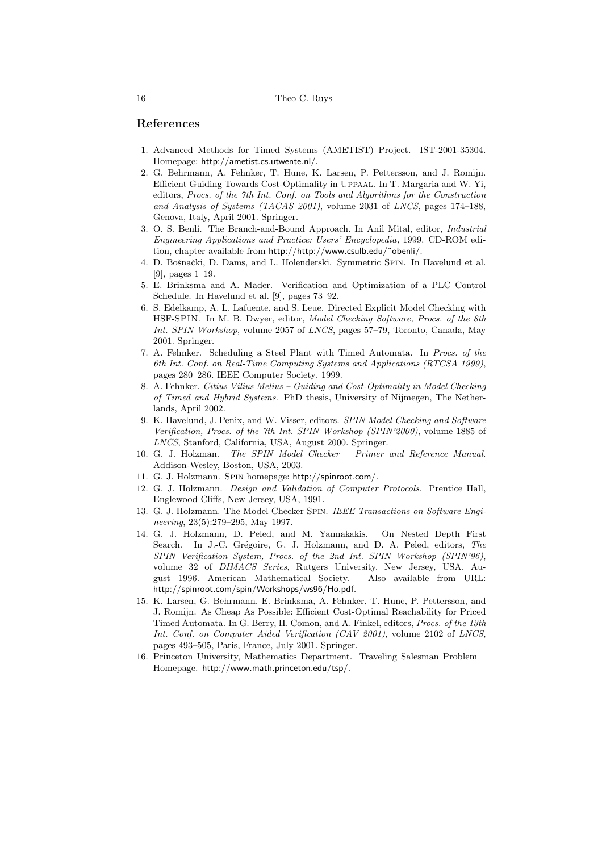## References

- 1. Advanced Methods for Timed Systems (AMETIST) Project. IST-2001-35304. Homepage: http://ametist.cs.utwente.nl/.
- 2. G. Behrmann, A. Fehnker, T. Hune, K. Larsen, P. Pettersson, and J. Romijn. Efficient Guiding Towards Cost-Optimality in Uppaal. In T. Margaria and W. Yi, editors, Procs. of the 7th Int. Conf. on Tools and Algorithms for the Construction and Analysis of Systems (TACAS 2001), volume 2031 of LNCS, pages 174–188, Genova, Italy, April 2001. Springer.
- 3. O. S. Benli. The Branch-and-Bound Approach. In Anil Mital, editor, Industrial Engineering Applications and Practice: Users' Encyclopedia, 1999. CD-ROM edition, chapter available from http://http://www.csulb.edu/˜obenli/.
- 4. D. Bošnački, D. Dams, and L. Holenderski. Symmetric SPIN. In Havelund et al. [9], pages 1–19.
- 5. E. Brinksma and A. Mader. Verification and Optimization of a PLC Control Schedule. In Havelund et al. [9], pages 73–92.
- 6. S. Edelkamp, A. L. Lafuente, and S. Leue. Directed Explicit Model Checking with HSF-SPIN. In M. B. Dwyer, editor, Model Checking Software, Procs. of the 8th Int. SPIN Workshop, volume 2057 of LNCS, pages 57–79, Toronto, Canada, May 2001. Springer.
- 7. A. Fehnker. Scheduling a Steel Plant with Timed Automata. In Procs. of the 6th Int. Conf. on Real-Time Computing Systems and Applications (RTCSA 1999), pages 280–286. IEEE Computer Society, 1999.
- 8. A. Fehnker. Citius Vilius Melius Guiding and Cost-Optimality in Model Checking of Timed and Hybrid Systems. PhD thesis, University of Nijmegen, The Netherlands, April 2002.
- 9. K. Havelund, J. Penix, and W. Visser, editors. SPIN Model Checking and Software Verification, Procs. of the 7th Int. SPIN Workshop (SPIN'2000), volume 1885 of LNCS, Stanford, California, USA, August 2000. Springer.
- 10. G. J. Holzman. The SPIN Model Checker Primer and Reference Manual. Addison-Wesley, Boston, USA, 2003.
- 11. G. J. Holzmann. Spin homepage: http://spinroot.com/.
- 12. G. J. Holzmann. Design and Validation of Computer Protocols. Prentice Hall, Englewood Cliffs, New Jersey, USA, 1991.
- 13. G. J. Holzmann. The Model Checker Spin. IEEE Transactions on Software Engineering, 23(5):279–295, May 1997.
- 14. G. J. Holzmann, D. Peled, and M. Yannakakis. On Nested Depth First Search. In J.-C. Grégoire, G. J. Holzmann, and D. A. Peled, editors, The SPIN Verification System, Procs. of the 2nd Int. SPIN Workshop (SPIN'96), volume 32 of DIMACS Series, Rutgers University, New Jersey, USA, August 1996. American Mathematical Society. Also available from URL: http://spinroot.com/spin/Workshops/ws96/Ho.pdf.
- 15. K. Larsen, G. Behrmann, E. Brinksma, A. Fehnker, T. Hune, P. Pettersson, and J. Romijn. As Cheap As Possible: Efficient Cost-Optimal Reachability for Priced Timed Automata. In G. Berry, H. Comon, and A. Finkel, editors, Procs. of the 13th Int. Conf. on Computer Aided Verification (CAV 2001), volume 2102 of LNCS, pages 493–505, Paris, France, July 2001. Springer.
- 16. Princeton University, Mathematics Department. Traveling Salesman Problem Homepage. http://www.math.princeton.edu/tsp/.